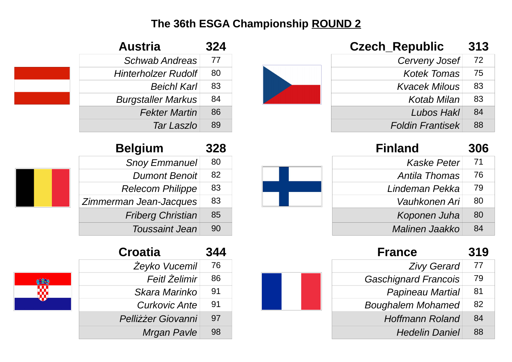| <b>Czech_Republic</b>   | 313 |
|-------------------------|-----|
| Cerveny Josef           | 72  |
| <b>Kotek Tomas</b>      | 75  |
| <b>Kvacek Milous</b>    | 83  |
| Kotab Milan             | 83  |
| Lubos Hakl              | 84  |
| <b>Foldin Frantisek</b> | 88  |

| <b>Finland</b> | 306 |
|----------------|-----|
| Kaske Peter    | 71  |
| Antila Thomas  | 76  |
| Lindeman Pekka | 79  |
| Vauhkonen Ari  | 80  |
| Koponen Juha   | 80  |
| Malinen Jaakko | 84  |

| 77<br><b>Zivy Gerard</b><br>79<br><b>Gaschignard Francois</b><br><b>Papineau Martial</b><br>81<br>82<br><b>Boughalem Mohamed</b><br>84<br><b>Hoffmann Roland</b><br>88<br><b>Hedelin Daniel</b> | <b>France</b> | 319 |
|-------------------------------------------------------------------------------------------------------------------------------------------------------------------------------------------------|---------------|-----|
|                                                                                                                                                                                                 |               |     |
|                                                                                                                                                                                                 |               |     |
|                                                                                                                                                                                                 |               |     |
|                                                                                                                                                                                                 |               |     |
|                                                                                                                                                                                                 |               |     |
|                                                                                                                                                                                                 |               |     |

| Austria                    | 324 |
|----------------------------|-----|
| <b>Schwab Andreas</b>      | 77  |
| <b>Hinterholzer Rudolf</b> | 80  |
| <b>Beichl Karl</b>         | 83  |
| <b>Burgstaller Markus</b>  | 84  |
| <b>Fekter Martin</b>       | 86  |
| Tar Laszlo                 | 89  |

| <b>Belgium</b>           | 328 |
|--------------------------|-----|
| <b>Snoy Emmanuel</b>     | 80  |
| <b>Dumont Benoit</b>     | 82  |
| <b>Relecom Philippe</b>  | 83  |
| Zimmerman Jean-Jacques   | 83  |
| <b>Friberg Christian</b> | 85  |
| <b>Toussaint Jean</b>    | 90  |

| Croatia              | 344 |
|----------------------|-----|
| Żeyko Vucemil        | 76  |
| <b>Feitl Żelimir</b> | 86  |
| Skara Marinko        | 91  |
| <b>Curkovic Ante</b> | 91  |
| Pelliżżer Giovanni   | 97  |
| <b>Mrgan Pavle</b>   | 98  |

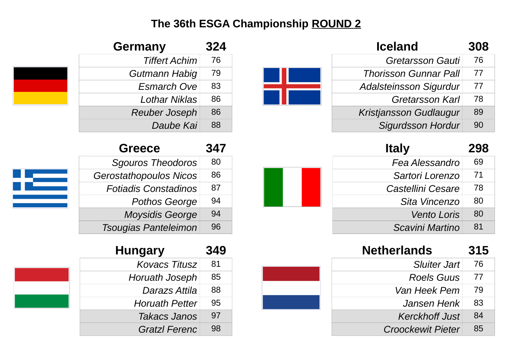H

| <b>Iceland</b>                | 308 |
|-------------------------------|-----|
| <b>Gretarsson Gauti</b>       | 76  |
| <b>Thorisson Gunnar Pall</b>  | 77  |
| <b>Adalsteinsson Sigurdur</b> | 77  |
| <b>Gretarsson Karl</b>        | 78  |
| Kristjansson Gudlaugur        | 89  |
| <b>Sigurdsson Hordur</b>      | 90  |

| <b>Italy</b>      | 298 |
|-------------------|-----|
| Fea Alessandro    | 69  |
| Sartori Lorenzo   | 71  |
| Castellini Cesare | 78  |
| Sita Vincenzo     | 80  |
| Vento Loris       | 80  |
| Scavini Martino   | 81  |

| 76<br><b>Sluiter Jart</b><br>77<br>Roels Guus<br>79<br>Van Heek Pem<br>83<br>Jansen Henk<br>84<br><b>Kerckhoff Just</b><br>85<br><b>Croockewit Pieter</b> | <b>Netherlands</b> | 315 |
|-----------------------------------------------------------------------------------------------------------------------------------------------------------|--------------------|-----|
|                                                                                                                                                           |                    |     |
|                                                                                                                                                           |                    |     |
|                                                                                                                                                           |                    |     |
|                                                                                                                                                           |                    |     |
|                                                                                                                                                           |                    |     |
|                                                                                                                                                           |                    |     |

| <b>Germany</b>       | 324 |
|----------------------|-----|
| <b>Tiffert Achim</b> | 76  |
| Gutmann Habig        | 79  |
| <b>Esmarch Ove</b>   | 83  |
| Lothar Niklas        | 86  |
| <b>Reuber Joseph</b> | 86  |
| Daube Kai            | 88  |

| <b>Greece</b>                 | 347 |
|-------------------------------|-----|
| <b>Sgouros Theodoros</b>      | 80  |
| <b>Gerostathopoulos Nicos</b> | 86  |
| <b>Fotiadis Constadinos</b>   | 87  |
| <b>Pothos George</b>          | 94  |
| <b>Moysidis George</b>        | 94  |
| <b>Tsougias Panteleimon</b>   | 96  |

| <b>Hungary</b>        | 349 |
|-----------------------|-----|
| <b>Kovacs Titusz</b>  | 81  |
| <b>Horuath Joseph</b> | 85  |
| Darazs Attila         | 88  |
| <b>Horuath Petter</b> | 95  |
| <b>Takacs Janos</b>   | 97  |
| <b>Gratzl Ferenc</b>  | 98  |

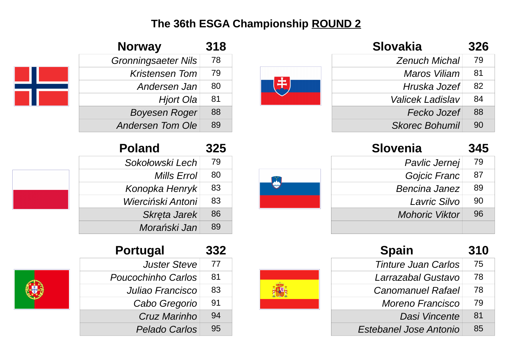| <b>Slovakia</b>       | 326 |
|-----------------------|-----|
| <b>Zenuch Michal</b>  | 79  |
| Maros Viliam          | 81  |
| Hruska Jozef          | 82  |
| Valicek Ladislav      | 84  |
| Fecko Jozef           | 88  |
| <b>Skorec Bohumil</b> | 90  |

| <b>Slovenia</b>       | 345 |
|-----------------------|-----|
| Pavlic Jernej         | 79  |
| Gojcic Franc          | 87  |
| <b>Bencina Janez</b>  | 89  |
| Lavric Silvo          | 90  |
| <b>Mohoric Viktor</b> | 96  |
|                       |     |

| <b>Spain</b>                  | 310 |
|-------------------------------|-----|
| <b>Tinture Juan Carlos</b>    | 75  |
| Larrazabal Gustavo            | 78  |
| <b>Canomanuel Rafael</b>      | 78  |
| Moreno Francisco              | 79  |
| Dasi Vincente                 | 81  |
| <b>Estebanel Jose Antonio</b> | 85  |



| $\left  \mathbb{Z} \right $ |  |
|-----------------------------|--|
|                             |  |

| <b>Norway</b>              | <b>318</b> |
|----------------------------|------------|
| <b>Gronningsaeter Nils</b> | 78         |
| <b>Kristensen Tom</b>      | 79         |
| Andersen Jan               | 80         |
| Hjort Ola                  | 81         |
| <b>Boyesen Roger</b>       | 88         |
| <b>Andersen Tom Ole</b>    | 89         |

| Morański Jan              | 89  |
|---------------------------|-----|
| <b>Portugal</b>           | 332 |
| <b>Juster Steve</b>       | 77  |
| <b>Poucochinho Carlos</b> | 81  |
| Juliao Francisco          | 83  |
| Cabo Gregorio             | 91  |
| Cruz Marinho              | qΔ  |

**Pelado Carlos** 95

**Poland 325**

*Sokołowski Lech* 79

*Konopka Henryk* 83

*Wierciński Antoni* 83

**Skręta Jarek** 86

*Mills Errol* 80